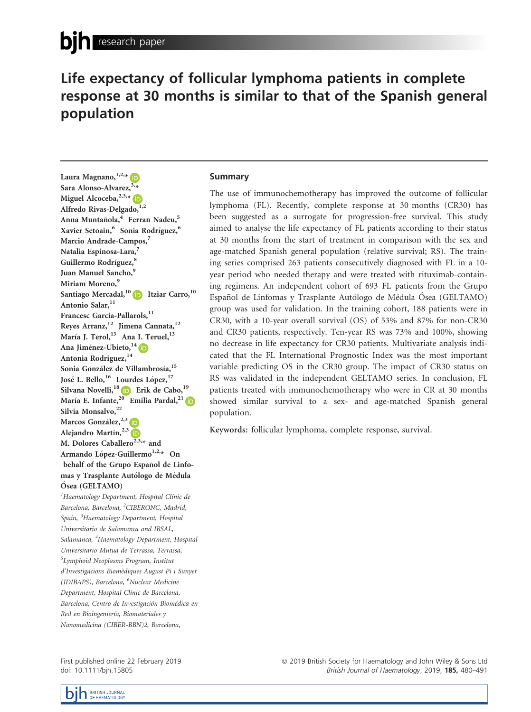# Life expectancy of follicular lymphoma patients in complete response at 30 months is similar to that of the Spanish general population

Laura Magnano,  $1,2,4$ Sara Alonso-Alvarez,  $3,4$ Miguel Alcoceba,  $^{2,3,*}$ Alfredo Rivas-Delgado, 1,2 Anna Muntañola,<sup>4</sup> Ferran Nadeu,<sup>5</sup> Xavier Setoain,<sup>6</sup> Sonia Rodríguez,<sup>6</sup> Marcio Andrade-Campos,<sup>7</sup> Natalia Espinosa-Lara,<sup>7</sup> Guillermo Rodríguez,<sup>8</sup> Juan Manuel Sancho,<sup>9</sup> Miriam Moreno,<sup>9</sup> Santiago Mercadal,<sup>10</sup> **Itziar Carro**,<sup>10</sup> Antonio Salar, 11 Francesc Garcia-Pallarols, 11 Reyes Arranz,<sup>12</sup> Jimena Cannata,<sup>12</sup> María J. Terol,<sup>13</sup> Ana I. Teruel,<sup>13</sup> Ana Jiménez-Ubieto, <sup>14</sup> Antonia Rodriguez, 14 Sonia González de Villambrosía,<sup>15</sup> José L. Bello, <sup>16</sup> Lourdes López, <sup>17</sup> Silvana Novelli,<sup>18</sup> D Erik de Cabo,<sup>19</sup> María E. Infante,<sup>20</sup> Emilia Pardal,<sup>2[1](https://orcid.org/0000-0001-7712-7876)</sup> Silvia Monsalvo, 22 Marcos González,<sup>2,[3](https://orcid.org/0000-0001-6637-1072)</sup> Alejandro Martín,<sup>2,3</sup> M. Dolores Caballero<sup>2,3, $\star$ </sup> and Armando López-Guillermo<sup>1,2,</sup>\* On behalf of the Grupo Español de Linfomas y Trasplante Autólogo de Médula Ósea (GELTAMO) <sup>1</sup>Haematology Department, Hospital Clínic de Barcelona, Barcelona, <sup>2</sup>CIBERONC, Madrid,

Spain, <sup>3</sup>Haematology Department, Hospital Universitario de Salamanca and IBSAL, Salamanca, <sup>4</sup>Haematology Department, Hospital Universitario Mutua de Terrassa, Terrassa, 5 Lymphoid Neoplasms Program, Institut d'Investigacions Biomediques August Pi i Sunyer (IDIBAPS), Barcelona, <sup>6</sup>Nuclear Medicine Department, Hospital Clinic de Barcelona, Barcelona, Centro de Investigación Biomédica en Red en Bioingeniería, Biomateriales y Nanomedicina (CIBER-BBN)2, Barcelona,

First published online 22 February 2019 doi: 10.1111/bjh.15805

# Summary

The use of immunochemotherapy has improved the outcome of follicular lymphoma (FL). Recently, complete response at 30 months (CR30) has been suggested as a surrogate for progression-free survival. This study aimed to analyse the life expectancy of FL patients according to their status at 30 months from the start of treatment in comparison with the sex and age-matched Spanish general population (relative survival; RS). The training series comprised 263 patients consecutively diagnosed with FL in a 10 year period who needed therapy and were treated with rituximab-containing regimens. An independent cohort of 693 FL patients from the Grupo Español de Linfomas y Trasplante Autólogo de Médula Ósea (GELTAMO) group was used for validation. In the training cohort, 188 patients were in CR30, with a 10-year overall survival (OS) of 53% and 87% for non-CR30 and CR30 patients, respectively. Ten-year RS was 73% and 100%, showing no decrease in life expectancy for CR30 patients. Multivariate analysis indicated that the FL International Prognostic Index was the most important variable predicting OS in the CR30 group. The impact of CR30 status on RS was validated in the independent GELTAMO series. In conclusion, FL patients treated with immunochemotherapy who were in CR at 30 months showed similar survival to a sex- and age-matched Spanish general population.

Keywords: follicular lymphoma, complete response, survival.



ª 2019 British Society for Haematology and John Wiley & Sons Ltd British Journal of Haematology, 2019, 185, 480-491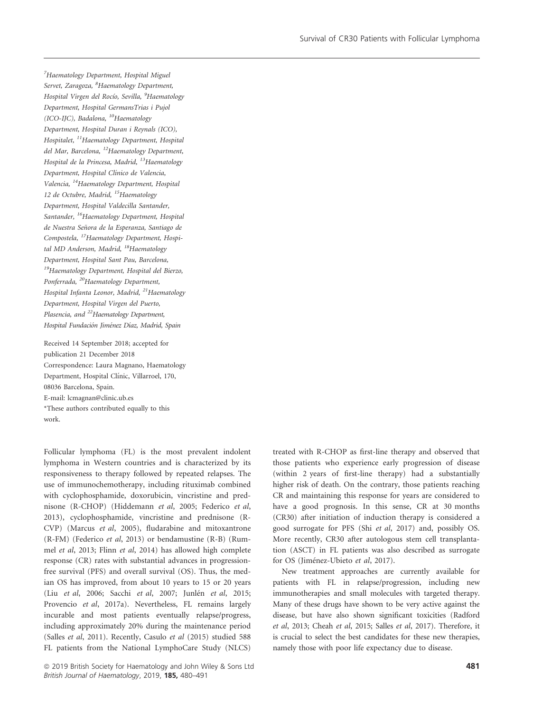<sup>7</sup>Haematology Department, Hospital Miguel Servet, Zaragoza, <sup>8</sup>Haematology Department, Hospital Virgen del Rocío, Sevilla, <sup>9</sup>Haematology Department, Hospital GermansTrias i Pujol (ICO-IJC), Badalona, <sup>10</sup>Haematology Department, Hospital Duran i Reynals (ICO), Hospitalet, 11Haematology Department, Hospital del Mar, Barcelona, <sup>12</sup>Haematology Department, Hospital de la Princesa, Madrid, <sup>13</sup>Haematology Department, Hospital Clínico de Valencia, Valencia, 14Haematology Department, Hospital 12 de Octubre, Madrid, <sup>15</sup>Haematology Department, Hospital Valdecilla Santander, Santander, <sup>16</sup>Haematology Department, Hospital de Nuestra Señora de la Esperanza, Santiago de Compostela, 17Haematology Department, Hospital MD Anderson, Madrid, <sup>18</sup>Haematology Department, Hospital Sant Pau, Barcelona, 19Haematology Department, Hospital del Bierzo, Ponferrada, <sup>20</sup>Haematology Department, Hospital Infanta Leonor, Madrid, <sup>21</sup>Haematology Department, Hospital Virgen del Puerto, Plasencia, and <sup>22</sup>Haematology Department, Hospital Fundación Jiménez Díaz, Madrid, Spain

Received 14 September 2018; accepted for publication 21 December 2018 Correspondence: Laura Magnano, Haematology Department, Hospital Clínic, Villarroel, 170, 08036 Barcelona, Spain. E-mail: [lcmagnan@clinic.ub.es](mailto:) \*These authors contributed equally to this work.

Follicular lymphoma (FL) is the most prevalent indolent lymphoma in Western countries and is characterized by its responsiveness to therapy followed by repeated relapses. The use of immunochemotherapy, including rituximab combined with cyclophosphamide, doxorubicin, vincristine and prednisone (R-CHOP) (Hiddemann et al, 2005; Federico et al, 2013), cyclophosphamide, vincristine and prednisone (R-CVP) (Marcus et al, 2005), fludarabine and mitoxantrone (R-FM) (Federico et al, 2013) or bendamustine (R-B) (Rummel et al, 2013; Flinn et al, 2014) has allowed high complete response (CR) rates with substantial advances in progressionfree survival (PFS) and overall survival (OS). Thus, the median OS has improved, from about 10 years to 15 or 20 years (Liu et al, 2006; Sacchi et al, 2007; Junlén et al, 2015; Provencio et al, 2017a). Nevertheless, FL remains largely incurable and most patients eventually relapse/progress, including approximately 20% during the maintenance period (Salles et al, 2011). Recently, Casulo et al (2015) studied 588 FL patients from the National LymphoCare Study (NLCS) treated with R-CHOP as first-line therapy and observed that those patients who experience early progression of disease (within 2 years of first-line therapy) had a substantially higher risk of death. On the contrary, those patients reaching CR and maintaining this response for years are considered to have a good prognosis. In this sense, CR at 30 months (CR30) after initiation of induction therapy is considered a good surrogate for PFS (Shi et al, 2017) and, possibly OS. More recently, CR30 after autologous stem cell transplantation (ASCT) in FL patients was also described as surrogate for OS (Jiménez-Ubieto et al, 2017).

New treatment approaches are currently available for patients with FL in relapse/progression, including new immunotherapies and small molecules with targeted therapy. Many of these drugs have shown to be very active against the disease, but have also shown significant toxicities (Radford et al, 2013; Cheah et al, 2015; Salles et al, 2017). Therefore, it is crucial to select the best candidates for these new therapies, namely those with poor life expectancy due to disease.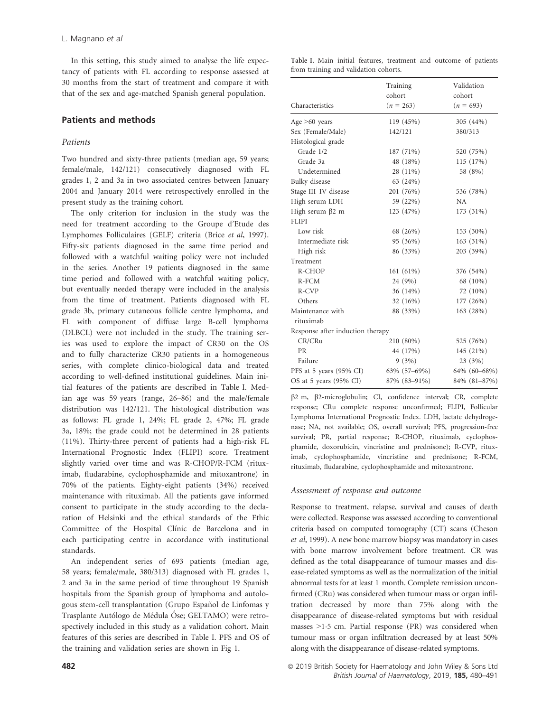In this setting, this study aimed to analyse the life expectancy of patients with FL according to response assessed at 30 months from the start of treatment and compare it with that of the sex and age-matched Spanish general population.

# Patients and methods

# Patients

Two hundred and sixty-three patients (median age, 59 years; female/male, 142/121) consecutively diagnosed with FL grades 1, 2 and 3a in two associated centres between January 2004 and January 2014 were retrospectively enrolled in the present study as the training cohort.

The only criterion for inclusion in the study was the need for treatment according to the Groupe d'Etude des Lymphomes Folliculaires (GELF) criteria (Brice et al, 1997). Fifty-six patients diagnosed in the same time period and followed with a watchful waiting policy were not included in the series. Another 19 patients diagnosed in the same time period and followed with a watchful waiting policy, but eventually needed therapy were included in the analysis from the time of treatment. Patients diagnosed with FL grade 3b, primary cutaneous follicle centre lymphoma, and FL with component of diffuse large B-cell lymphoma (DLBCL) were not included in the study. The training series was used to explore the impact of CR30 on the OS and to fully characterize CR30 patients in a homogeneous series, with complete clinico-biological data and treated according to well-defined institutional guidelines. Main initial features of the patients are described in Table I. Median age was 59 years (range, 26–86) and the male/female distribution was 142/121. The histological distribution was as follows: FL grade 1, 24%; FL grade 2, 47%; FL grade 3a, 18%; the grade could not be determined in 28 patients (11%). Thirty-three percent of patients had a high-risk FL International Prognostic Index (FLIPI) score. Treatment slightly varied over time and was R-CHOP/R-FCM (rituximab, fludarabine, cyclophosphamide and mitoxantrone) in 70% of the patients. Eighty-eight patients (34%) received maintenance with rituximab. All the patients gave informed consent to participate in the study according to the declaration of Helsinki and the ethical standards of the Ethic Committee of the Hospital Clínic de Barcelona and in each participating centre in accordance with institutional standards.

An independent series of 693 patients (median age, 58 years; female/male, 380/313) diagnosed with FL grades 1, 2 and 3a in the same period of time throughout 19 Spanish hospitals from the Spanish group of lymphoma and autologous stem-cell transplantation (Grupo Espanol de Linfomas y ~ Trasplante Autólogo de Médula Óse; GELTAMO) were retrospectively included in this study as a validation cohort. Main features of this series are described in Table I. PFS and OS of the training and validation series are shown in Fig 1.

Table I. Main initial features, treatment and outcome of patients from training and validation cohorts.

| Characteristics                  | Training<br>cohort<br>$(n = 263)$ | Validation<br>cohort<br>$(n = 693)$ |
|----------------------------------|-----------------------------------|-------------------------------------|
| Age $>60$ years                  | 119 (45%)                         | 305 (44%)                           |
| Sex (Female/Male)                | 142/121                           | 380/313                             |
| Histological grade               |                                   |                                     |
| Grade 1/2                        | 187 (71%)                         | 520 (75%)                           |
| Grade 3a                         | 48 (18%)                          | 115 (17%)                           |
| Undetermined                     | 28 (11%)                          | 58 (8%)                             |
| Bulky disease                    | 63 (24%)                          |                                     |
| Stage III-IV disease             | 201 (76%)                         | 536 (78%)                           |
| High serum LDH                   | 59 (22%)                          | <b>NA</b>                           |
| High serum $\beta$ 2 m           | 123 (47%)                         | 173 (31%)                           |
| <b>FLIPI</b>                     |                                   |                                     |
| Low risk                         | 68 (26%)                          | 153 (30%)                           |
| Intermediate risk                | 95 (36%)                          | $163(31\%)$                         |
| High risk                        | 86 (33%)                          | 203 (39%)                           |
| Treatment                        |                                   |                                     |
| R-CHOP                           | 161 (61%)                         | 376 (54%)                           |
| $R$ - $FCM$                      | 24 (9%)                           | 68 (10%)                            |
| R-CVP                            | 36(14%)                           | 72 (10%)                            |
| Others                           | 32 (16%)                          | 177 (26%)                           |
| Maintenance with                 | 88 (33%)                          | 163 (28%)                           |
| rituximab                        |                                   |                                     |
| Response after induction therapy |                                   |                                     |
| CR/CRu                           | 210 (80%)                         | 525 (76%)                           |
| <b>PR</b>                        | 44 (17%)                          | 145 (21%)                           |
| Failure                          | 9(3%)                             | 23(3%)                              |
| PFS at 5 years (95% CI)          | 63% (57-69%)                      | 64% (60-68%)                        |
| OS at 5 years (95% CI)           | 87% (83-91%)                      | 84% (81-87%)                        |

b2 m, b2-microglobulin; CI, confidence interval; CR, complete response; CRu complete response unconfirmed; FLIPI, Follicular Lymphoma International Prognostic Index. LDH, lactate dehydrogenase; NA, not available; OS, overall survival; PFS, progression-free survival; PR, partial response; R-CHOP, rituximab, cyclophosphamide, doxorubicin, vincristine and prednisone); R-CVP, rituximab, cyclophosphamide, vincristine and prednisone; R-FCM, rituximab, fludarabine, cyclophosphamide and mitoxantrone.

#### Assessment of response and outcome

Response to treatment, relapse, survival and causes of death were collected. Response was assessed according to conventional criteria based on computed tomography (CT) scans (Cheson et al, 1999). A new bone marrow biopsy was mandatory in cases with bone marrow involvement before treatment. CR was defined as the total disappearance of tumour masses and disease-related symptoms as well as the normalization of the initial abnormal tests for at least 1 month. Complete remission unconfirmed (CRu) was considered when tumour mass or organ infiltration decreased by more than 75% along with the disappearance of disease-related symptoms but with residual masses  $>1.5$  cm. Partial response (PR) was considered when tumour mass or organ infiltration decreased by at least 50% along with the disappearance of disease-related symptoms.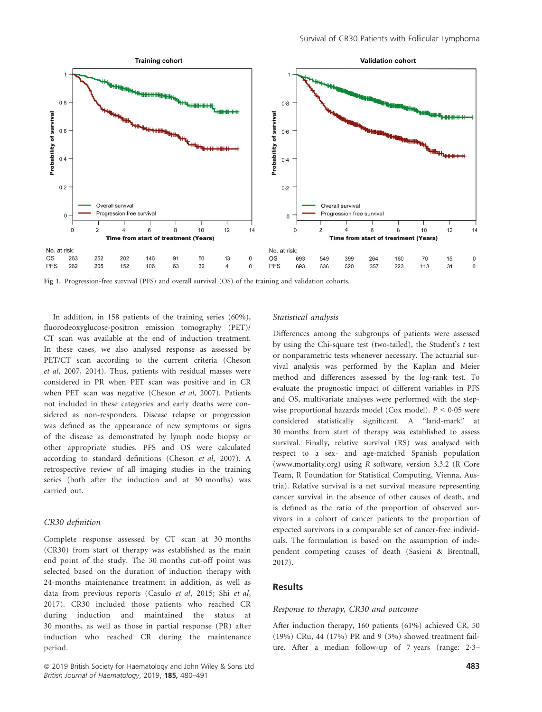

Fig 1. Progression-free survival (PFS) and overall survival (OS) of the training and validation cohorts.

In addition, in 158 patients of the training series (60%), fluorodeoxyglucose-positron emission tomography (PET)/ CT scan was available at the end of induction treatment. In these cases, we also analysed response as assessed by PET/CT scan according to the current criteria (Cheson et al, 2007, 2014). Thus, patients with residual masses were considered in PR when PET scan was positive and in CR when PET scan was negative (Cheson et al, 2007). Patients not included in these categories and early deaths were considered as non-responders. Disease relapse or progression was defined as the appearance of new symptoms or signs of the disease as demonstrated by lymph node biopsy or other appropriate studies. PFS and OS were calculated according to standard definitions (Cheson et al, 2007). A retrospective review of all imaging studies in the training series (both after the induction and at 30 months) was carried out.

# CR30 definition

Complete response assessed by CT scan at 30 months (CR30) from start of therapy was established as the main end point of the study. The 30 months cut-off point was selected based on the duration of induction therapy with 24-months maintenance treatment in addition, as well as data from previous reports (Casulo et al, 2015; Shi et al, 2017). CR30 included those patients who reached CR during induction and maintained the status at 30 months, as well as those in partial response (PR) after induction who reached CR during the maintenance period.

#### Statistical analysis

Differences among the subgroups of patients were assessed by using the Chi-square test (two-tailed), the Student's  $t$  test or nonparametric tests whenever necessary. The actuarial survival analysis was performed by the Kaplan and Meier method and differences assessed by the log-rank test. To evaluate the prognostic impact of different variables in PFS and OS, multivariate analyses were performed with the stepwise proportional hazards model (Cox model).  $P < 0.05$  were considered statistically significant. A "land-mark" at 30 months from start of therapy was established to assess survival. Finally, relative survival (RS) was analysed with respect to a sex- and age-matched Spanish population [\(www.mortality.org](http://www.mortality.org)) using R software, version 3.3.2 (R Core Team, R Foundation for Statistical Computing, Vienna, Austria). Relative survival is a net survival measure representing cancer survival in the absence of other causes of death, and is defined as the ratio of the proportion of observed survivors in a cohort of cancer patients to the proportion of expected survivors in a comparable set of cancer-free individuals. The formulation is based on the assumption of independent competing causes of death (Sasieni & Brentnall, 2017).

# **Results**

#### Response to therapy, CR30 and outcome

After induction therapy, 160 patients (61%) achieved CR, 50 (19%) CRu, 44 (17%) PR and 9 (3%) showed treatment failure. After a median follow-up of 7 years (range: 23–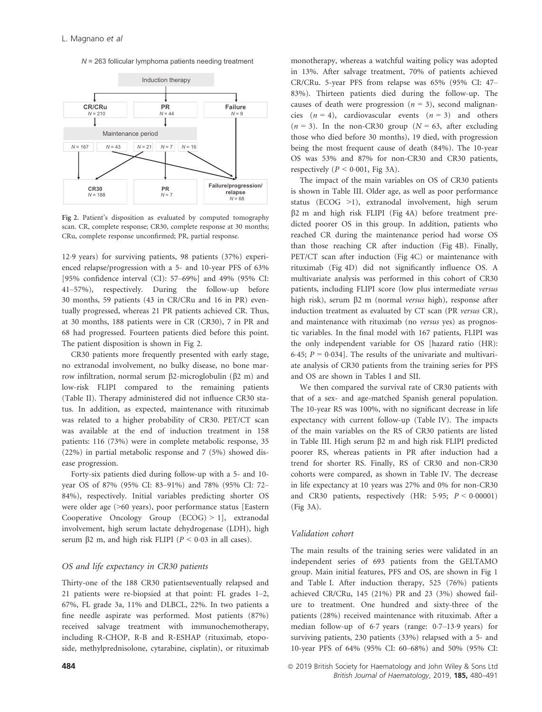*N* = 263 follicular lymphoma patients needing treatment



Fig 2. Patient's disposition as evaluated by computed tomography scan. CR, complete response; CR30, complete response at 30 months; CRu, complete response unconfirmed; PR, partial response.

129 years) for surviving patients, 98 patients (37%) experienced relapse/progression with a 5- and 10-year PFS of 63% [95% confidence interval (CI): 57–69%] and 49% (95% CI: 41–57%), respectively. During the follow-up before 30 months, 59 patients (43 in CR/CRu and 16 in PR) eventually progressed, whereas 21 PR patients achieved CR. Thus, at 30 months, 188 patients were in CR (CR30), 7 in PR and 68 had progressed. Fourteen patients died before this point. The patient disposition is shown in Fig 2.

CR30 patients more frequently presented with early stage, no extranodal involvement, no bulky disease, no bone marrow infiltration, normal serum  $\beta$ 2-microglobulin ( $\beta$ 2 m) and low-risk FLIPI compared to the remaining patients (Table II). Therapy administered did not influence CR30 status. In addition, as expected, maintenance with rituximab was related to a higher probability of CR30. PET/CT scan was available at the end of induction treatment in 158 patients: 116 (73%) were in complete metabolic response, 35 (22%) in partial metabolic response and 7 (5%) showed disease progression.

Forty-six patients died during follow-up with a 5- and 10 year OS of 87% (95% CI: 83–91%) and 78% (95% CI: 72– 84%), respectively. Initial variables predicting shorter OS were older age (>60 years), poor performance status [Eastern Cooperative Oncology Group (ECOG) > 1], extranodal involvement, high serum lactate dehydrogenase (LDH), high serum  $\beta$ 2 m, and high risk FLIPI ( $P < 0.03$  in all cases).

#### OS and life expectancy in CR30 patients

Thirty-one of the 188 CR30 patientseventually relapsed and 21 patients were re-biopsied at that point: FL grades 1–2, 67%, FL grade 3a, 11% and DLBCL, 22%. In two patients a fine needle aspirate was performed. Most patients (87%) received salvage treatment with immunochemotherapy, including R-CHOP, R-B and R-ESHAP (rituximab, etoposide, methylprednisolone, cytarabine, cisplatin), or rituximab monotherapy, whereas a watchful waiting policy was adopted in 13%. After salvage treatment, 70% of patients achieved CR/CRu. 5-year PFS from relapse was 65% (95% CI: 47– 83%). Thirteen patients died during the follow-up. The causes of death were progression ( $n = 3$ ), second malignancies  $(n = 4)$ , cardiovascular events  $(n = 3)$  and others  $(n = 3)$ . In the non-CR30 group ( $N = 63$ , after excluding those who died before 30 months), 19 died, with progression being the most frequent cause of death (84%). The 10-year OS was 53% and 87% for non-CR30 and CR30 patients, respectively ( $P < 0.001$ , Fig 3A).

The impact of the main variables on OS of CR30 patients is shown in Table III. Older age, as well as poor performance status (ECOG >1), extranodal involvement, high serum  $\beta$ 2 m and high risk FLIPI (Fig 4A) before treatment predicted poorer OS in this group. In addition, patients who reached CR during the maintenance period had worse OS than those reaching CR after induction (Fig 4B). Finally, PET/CT scan after induction (Fig 4C) or maintenance with rituximab (Fig 4D) did not significantly influence OS. A multivariate analysis was performed in this cohort of CR30 patients, including FLIPI score (low plus intermediate versus high risk), serum β2 m (normal versus high), response after induction treatment as evaluated by CT scan (PR versus CR), and maintenance with rituximab (no versus yes) as prognostic variables. In the final model with 167 patients, FLIPI was the only independent variable for OS [hazard ratio (HR): 6.45;  $P = 0.034$ ]. The results of the univariate and multivariate analysis of CR30 patients from the training series for PFS and OS are shown in Tables I and SII.

We then compared the survival rate of CR30 patients with that of a sex- and age-matched Spanish general population. The 10-year RS was 100%, with no significant decrease in life expectancy with current follow-up (Table IV). The impacts of the main variables on the RS of CR30 patients are listed in Table III. High serum  $\beta$ 2 m and high risk FLIPI predicted poorer RS, whereas patients in PR after induction had a trend for shorter RS. Finally, RS of CR30 and non-CR30 cohorts were compared, as shown in Table IV. The decrease in life expectancy at 10 years was 27% and 0% for non-CR30 and CR30 patients, respectively (HR:  $5.95$ ;  $P < 0.00001$ ) (Fig 3A).

#### Validation cohort

The main results of the training series were validated in an independent series of 693 patients from the GELTAMO group. Main initial features, PFS and OS, are shown in Fig 1 and Table I. After induction therapy, 525 (76%) patients achieved CR/CRu, 145 (21%) PR and 23 (3%) showed failure to treatment. One hundred and sixty-three of the patients (28%) received maintenance with rituximab. After a median follow-up of 6.7 years (range:  $0.7-13.9$  years) for surviving patients, 230 patients (33%) relapsed with a 5- and 10-year PFS of 64% (95% CI: 60–68%) and 50% (95% CI:

**484 a** 2019 British Society for Haematology and John Wiley & Sons Ltd British Journal of Haematology, 2019, 185, 480–491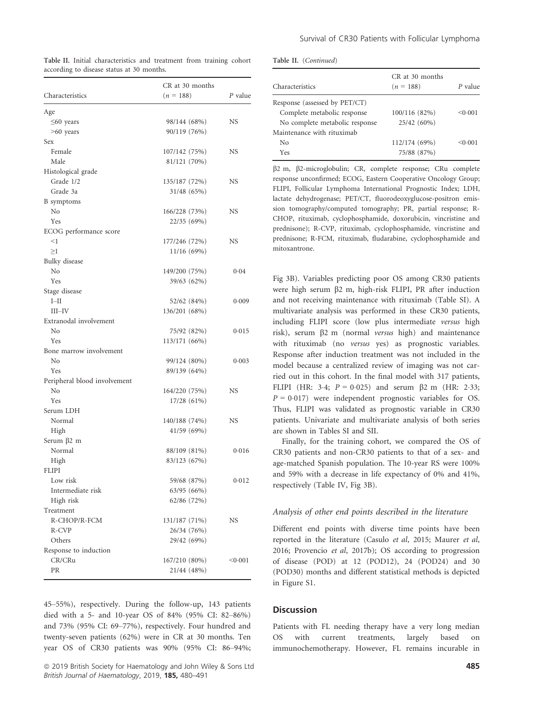|  | Table II. Initial characteristics and treatment from training cohort |  |  |  |
|--|----------------------------------------------------------------------|--|--|--|
|  | according to disease status at 30 months.                            |  |  |  |

|                              | CR at 30 months            |         |  |
|------------------------------|----------------------------|---------|--|
| Characteristics              | $(n = 188)$                | P value |  |
| Age                          |                            |         |  |
| $\leq 60$ years              | 98/144 (68%)               | NS      |  |
| $>60$ years                  | 90/119 (76%)               |         |  |
| Sex                          |                            |         |  |
| Female                       | 107/142 (75%)              | NS      |  |
| Male                         | 81/121 (70%)               |         |  |
| Histological grade           |                            |         |  |
| Grade 1/2                    | 135/187 (72%)              | NS.     |  |
| Grade 3a                     | 31/48 (65%)                |         |  |
| <b>B</b> symptoms            |                            |         |  |
| N <sub>0</sub>               | 166/228 (73%)              | NS.     |  |
| Yes                          | 22/35 (69%)                |         |  |
| ECOG performance score       |                            |         |  |
| $<$ 1                        | 177/246 (72%)              | NS.     |  |
| $\geq$ 1                     | 11/16 (69%)                |         |  |
| Bulky disease                |                            |         |  |
| No                           | 149/200 (75%)              | 0.04    |  |
| Yes                          | 39/63 (62%)                |         |  |
| Stage disease                |                            |         |  |
| $I$ -II                      | 52/62 (84%)                | 0.009   |  |
| $III$ -IV                    | 136/201 (68%)              |         |  |
| Extranodal involvement       |                            |         |  |
| No                           | 75/92 (82%)                | 0.015   |  |
| Yes                          | 113/171 (66%)              |         |  |
| Bone marrow involvement      |                            |         |  |
| No                           | 99/124 (80%)               | 0.003   |  |
| Yes                          | 89/139 (64%)               |         |  |
| Peripheral blood involvement |                            |         |  |
| No                           | 164/220 (75%)              | NS      |  |
| Yes                          | 17/28 (61%)                |         |  |
| Serum LDH                    |                            |         |  |
| Normal                       | 140/188 (74%)              | NS.     |  |
|                              |                            |         |  |
| High<br>Serum β2 m           | 41/59 (69%)                |         |  |
| Normal                       | 88/109 (81%)               | 0.016   |  |
| High                         | 83/123 (67%)               |         |  |
| <b>FLIPI</b>                 |                            |         |  |
| Low risk                     | 59/68 (87%)                | 0.012   |  |
| Intermediate risk            | 63/95 (66%)                |         |  |
| High risk                    | 62/86 (72%)                |         |  |
| Treatment                    |                            |         |  |
| R-CHOP/R-FCM                 |                            | NS      |  |
| R-CVP                        | 131/187 (71%)              |         |  |
| Others                       | 26/34 (76%)<br>29/42 (69%) |         |  |
|                              |                            |         |  |
| Response to induction        |                            |         |  |
| CR/CRu                       | 167/210 (80%)              | < 0.001 |  |
| PR                           | 21/44 (48%)                |         |  |

45–55%), respectively. During the follow-up, 143 patients died with a 5- and 10-year OS of 84% (95% CI: 82–86%) and 73% (95% CI: 69–77%), respectively. Four hundred and twenty-seven patients (62%) were in CR at 30 months. Ten year OS of CR30 patients was 90% (95% CI: 86–94%;

ª 2019 British Society for Haematology and John Wiley & Sons Ltd 485 British Journal of Haematology, 2019, 185, 480-491

|  | Table II. (Continued) |
|--|-----------------------|
|--|-----------------------|

| Characteristics                | CR at 30 months<br>$(n = 188)$ | P value |
|--------------------------------|--------------------------------|---------|
| Response (assessed by PET/CT)  |                                |         |
| Complete metabolic response    | 100/116 (82%)                  | < 0.001 |
| No complete metabolic response | 25/42 (60%)                    |         |
| Maintenance with rituximab     |                                |         |
| No                             | 112/174 (69%)                  | < 0.001 |
| Yes                            | 75/88 (87%)                    |         |

b2 m, b2-microglobulin; CR, complete response; CRu complete response unconfirmed; ECOG, Eastern Cooperative Oncology Group; FLIPI, Follicular Lymphoma International Prognostic Index; LDH, lactate dehydrogenase; PET/CT, fluorodeoxyglucose-positron emission tomography/computed tomography; PR, partial response; R-CHOP, rituximab, cyclophosphamide, doxorubicin, vincristine and prednisone); R-CVP, rituximab, cyclophosphamide, vincristine and prednisone; R-FCM, rituximab, fludarabine, cyclophosphamide and mitoxantrone.

Fig 3B). Variables predicting poor OS among CR30 patients were high serum b2 m, high-risk FLIPI, PR after induction and not receiving maintenance with rituximab (Table SI). A multivariate analysis was performed in these CR30 patients, including FLIPI score (low plus intermediate versus high risk), serum  $\beta$ 2 m (normal versus high) and maintenance with rituximab (no versus yes) as prognostic variables. Response after induction treatment was not included in the model because a centralized review of imaging was not carried out in this cohort. In the final model with 317 patients, FLIPI (HR: 3.4;  $P = 0.025$ ) and serum  $\beta$ 2 m (HR: 2.33;  $P = 0.017$ ) were independent prognostic variables for OS. Thus, FLIPI was validated as prognostic variable in CR30 patients. Univariate and multivariate analysis of both series are shown in Tables SI and SII.

Finally, for the training cohort, we compared the OS of CR30 patients and non-CR30 patients to that of a sex- and age-matched Spanish population. The 10-year RS were 100% and 59% with a decrease in life expectancy of 0% and 41%, respectively (Table IV, Fig 3B).

#### Analysis of other end points described in the literature

Different end points with diverse time points have been reported in the literature (Casulo et al, 2015; Maurer et al, 2016; Provencio et al, 2017b); OS according to progression of disease (POD) at 12 (POD12), 24 (POD24) and 30 (POD30) months and different statistical methods is depicted in Figure S1.

#### **Discussion**

Patients with FL needing therapy have a very long median OS with current treatments, largely based on immunochemotherapy. However, FL remains incurable in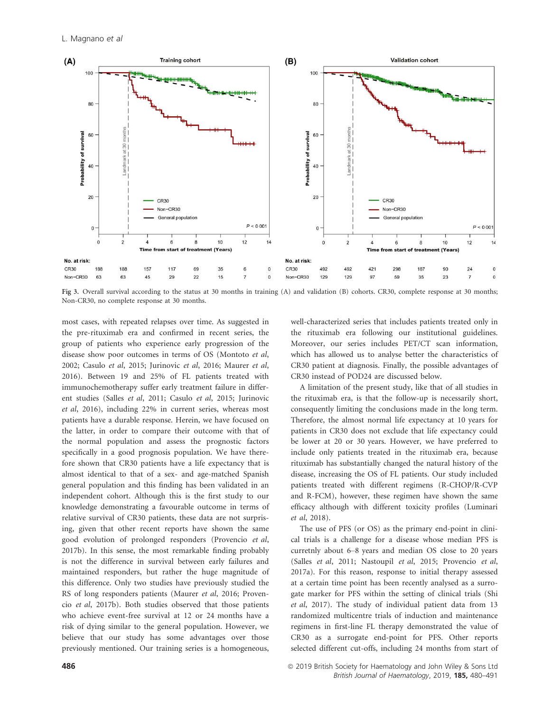

Fig 3. Overall survival according to the status at 30 months in training (A) and validation (B) cohorts. CR30, complete response at 30 months; Non-CR30, no complete response at 30 months.

most cases, with repeated relapses over time. As suggested in the pre-rituximab era and confirmed in recent series, the group of patients who experience early progression of the disease show poor outcomes in terms of OS (Montoto et al, 2002; Casulo et al, 2015; Jurinovic et al, 2016; Maurer et al, 2016). Between 19 and 25% of FL patients treated with immunochemotherapy suffer early treatment failure in different studies (Salles et al, 2011; Casulo et al, 2015; Jurinovic et al, 2016), including 22% in current series, whereas most patients have a durable response. Herein, we have focused on the latter, in order to compare their outcome with that of the normal population and assess the prognostic factors specifically in a good prognosis population. We have therefore shown that CR30 patients have a life expectancy that is almost identical to that of a sex- and age-matched Spanish general population and this finding has been validated in an independent cohort. Although this is the first study to our knowledge demonstrating a favourable outcome in terms of relative survival of CR30 patients, these data are not surprising, given that other recent reports have shown the same good evolution of prolonged responders (Provencio et al, 2017b). In this sense, the most remarkable finding probably is not the difference in survival between early failures and maintained responders, but rather the huge magnitude of this difference. Only two studies have previously studied the RS of long responders patients (Maurer et al, 2016; Provencio et al, 2017b). Both studies observed that those patients who achieve event-free survival at 12 or 24 months have a risk of dying similar to the general population. However, we believe that our study has some advantages over those previously mentioned. Our training series is a homogeneous, well-characterized series that includes patients treated only in the rituximab era following our institutional guidelines. Moreover, our series includes PET/CT scan information, which has allowed us to analyse better the characteristics of CR30 patient at diagnosis. Finally, the possible advantages of CR30 instead of POD24 are discussed below.

A limitation of the present study, like that of all studies in the rituximab era, is that the follow-up is necessarily short, consequently limiting the conclusions made in the long term. Therefore, the almost normal life expectancy at 10 years for patients in CR30 does not exclude that life expectancy could be lower at 20 or 30 years. However, we have preferred to include only patients treated in the rituximab era, because rituximab has substantially changed the natural history of the disease, increasing the OS of FL patients. Our study included patients treated with different regimens (R-CHOP/R-CVP and R-FCM), however, these regimen have shown the same efficacy although with different toxicity profiles (Luminari et al, 2018).

The use of PFS (or OS) as the primary end-point in clinical trials is a challenge for a disease whose median PFS is curretnly about 6–8 years and median OS close to 20 years (Salles et al, 2011; Nastoupil et al, 2015; Provencio et al, 2017a). For this reason, response to initial therapy assessed at a certain time point has been recently analysed as a surrogate marker for PFS within the setting of clinical trials (Shi et al, 2017). The study of individual patient data from 13 randomized multicentre trials of induction and maintenance regimens in first-line FL therapy demonstrated the value of CR30 as a surrogate end-point for PFS. Other reports selected different cut-offs, including 24 months from start of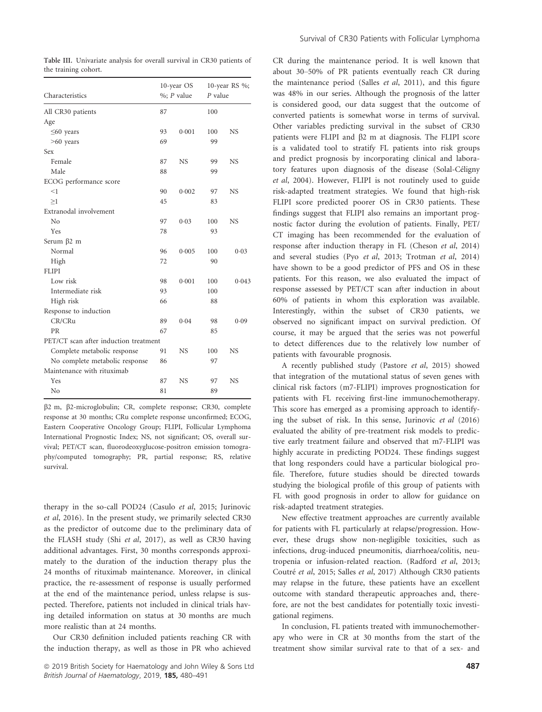Table III. Univariate analysis for overall survival in CR30 patients of the training cohort.

| Characteristics                       | 10-year OS<br>$\%$ ; P value |           | 10-year RS %;<br>$P$ value |           |
|---------------------------------------|------------------------------|-----------|----------------------------|-----------|
| All CR30 patients                     | 87                           |           | 100                        |           |
| Age                                   |                              |           |                            |           |
| $\leq 60$ years                       | 93                           | 0.001     | 100                        | <b>NS</b> |
| $>60$ years                           | 69                           |           | 99                         |           |
| Sex                                   |                              |           |                            |           |
| Female                                | 87                           | <b>NS</b> | 99                         | NS        |
| Male                                  | 88                           |           | 99                         |           |
| ECOG performance score                |                              |           |                            |           |
| <1                                    | 90                           | 0.002     | 97                         | <b>NS</b> |
| >1                                    | 45                           |           | 83                         |           |
| Extranodal involvement                |                              |           |                            |           |
| No                                    | 97                           | 0.03      | 100                        | <b>NS</b> |
| Yes                                   | 78                           |           | 93                         |           |
| Serum $\beta$ 2 m                     |                              |           |                            |           |
| Normal                                | 96                           | 0.005     | 100                        | 0.03      |
| High                                  | 72                           |           | 90                         |           |
| <b>FLIPI</b>                          |                              |           |                            |           |
| Low risk                              | 98                           | 0.001     | 100                        | 0.043     |
| Intermediate risk                     | 93                           |           | 100                        |           |
| High risk                             | 66                           |           | 88                         |           |
| Response to induction                 |                              |           |                            |           |
| CR/CRu                                | 89                           | 0.04      | 98                         | 0.09      |
| <b>PR</b>                             | 67                           |           | 85                         |           |
| PET/CT scan after induction treatment |                              |           |                            |           |
| Complete metabolic response           | 91                           | <b>NS</b> | 100                        | <b>NS</b> |
| No complete metabolic response        | 86                           |           | 97                         |           |
| Maintenance with rituximab            |                              |           |                            |           |
| Yes                                   | 87                           | <b>NS</b> | 97                         | <b>NS</b> |
| No                                    | 81                           |           | 89                         |           |

b2 m, b2-microglobulin; CR, complete response; CR30, complete response at 30 months; CRu complete response unconfirmed; ECOG, Eastern Cooperative Oncology Group; FLIPI, Follicular Lymphoma International Prognostic Index; NS, not significant; OS, overall survival; PET/CT scan, fluorodeoxyglucose-positron emission tomography/computed tomography; PR, partial response; RS, relative survival.

therapy in the so-call POD24 (Casulo et al, 2015; Jurinovic et al, 2016). In the present study, we primarily selected CR30 as the predictor of outcome due to the preliminary data of the FLASH study (Shi et al, 2017), as well as CR30 having additional advantages. First, 30 months corresponds approximately to the duration of the induction therapy plus the 24 months of rituximab maintenance. Moreover, in clinical practice, the re-assessment of response is usually performed at the end of the maintenance period, unless relapse is suspected. Therefore, patients not included in clinical trials having detailed information on status at 30 months are much more realistic than at 24 months.

Our CR30 definition included patients reaching CR with the induction therapy, as well as those in PR who achieved CR during the maintenance period. It is well known that about 30–50% of PR patients eventually reach CR during the maintenance period (Salles et al, 2011), and this figure was 48% in our series. Although the prognosis of the latter is considered good, our data suggest that the outcome of converted patients is somewhat worse in terms of survival. Other variables predicting survival in the subset of CR30 patients were FLIPI and  $\beta$ 2 m at diagnosis. The FLIPI score is a validated tool to stratify FL patients into risk groups and predict prognosis by incorporating clinical and laboratory features upon diagnosis of the disease (Solal-Céligny et al, 2004). However, FLIPI is not routinely used to guide risk-adapted treatment strategies. We found that high-risk FLIPI score predicted poorer OS in CR30 patients. These findings suggest that FLIPI also remains an important prognostic factor during the evolution of patients. Finally, PET/ CT imaging has been recommended for the evaluation of response after induction therapy in FL (Cheson et al, 2014) and several studies (Pyo et al, 2013; Trotman et al, 2014) have shown to be a good predictor of PFS and OS in these patients. For this reason, we also evaluated the impact of response assessed by PET/CT scan after induction in about 60% of patients in whom this exploration was available. Interestingly, within the subset of CR30 patients, we observed no significant impact on survival prediction. Of course, it may be argued that the series was not powerful to detect differences due to the relatively low number of patients with favourable prognosis.

A recently published study (Pastore et al, 2015) showed that integration of the mutational status of seven genes with clinical risk factors (m7-FLIPI) improves prognostication for patients with FL receiving first-line immunochemotherapy. This score has emerged as a promising approach to identifying the subset of risk. In this sense, Jurinovic et al (2016) evaluated the ability of pre-treatment risk models to predictive early treatment failure and observed that m7-FLIPI was highly accurate in predicting POD24. These findings suggest that long responders could have a particular biological profile. Therefore, future studies should be directed towards studying the biological profile of this group of patients with FL with good prognosis in order to allow for guidance on risk-adapted treatment strategies.

New effective treatment approaches are currently available for patients with FL particularly at relapse/progression. However, these drugs show non-negligible toxicities, such as infections, drug-induced pneumonitis, diarrhoea/colitis, neutropenia or infusion-related reaction. (Radford et al, 2013; Coutré et al, 2015; Salles et al, 2017) Although CR30 patients may relapse in the future, these patients have an excellent outcome with standard therapeutic approaches and, therefore, are not the best candidates for potentially toxic investigational regimens.

In conclusion, FL patients treated with immunochemotherapy who were in CR at 30 months from the start of the treatment show similar survival rate to that of a sex- and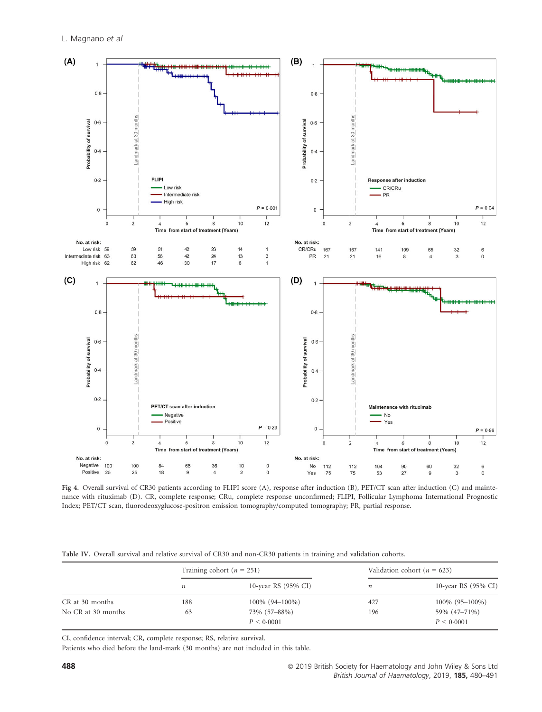

Fig 4. Overall survival of CR30 patients according to FLIPI score (A), response after induction (B), PET/CT scan after induction (C) and maintenance with rituximab (D). CR, complete response; CRu, complete response unconfirmed; FLIPI, Follicular Lymphoma International Prognostic Index; PET/CT scan, fluorodeoxyglucose-positron emission tomography/computed tomography; PR, partial response.

|  | Table IV. Overall survival and relative survival of CR30 and non-CR30 patients in training and validation cohorts. |  |  |  |  |  |  |  |  |
|--|--------------------------------------------------------------------------------------------------------------------|--|--|--|--|--|--|--|--|
|--|--------------------------------------------------------------------------------------------------------------------|--|--|--|--|--|--|--|--|

|                    |     | Training cohort ( $n = 251$ ) |                  | Validation cohort ( $n = 623$ ) |
|--------------------|-----|-------------------------------|------------------|---------------------------------|
|                    | n   | 10-year RS (95% CI)           | $\boldsymbol{n}$ | 10-year RS (95% CI)             |
| CR at 30 months    | 188 | $100\%$ (94-100%)             | 427              | $100\%$ (95-100%)               |
| No CR at 30 months | 63  | 73% (57-88%)<br>P < 0.0001    | 196              | 59% (47-71%)<br>P < 0.0001      |

CI, confidence interval; CR, complete response; RS, relative survival.

Patients who died before the land-mark (30 months) are not included in this table.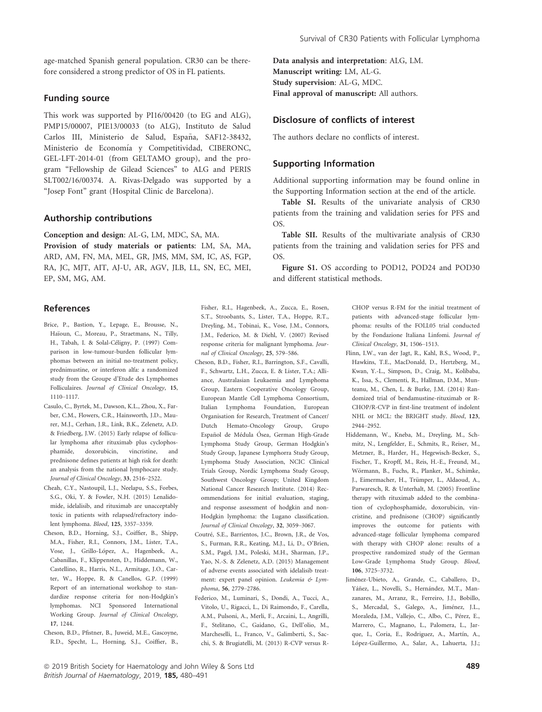age-matched Spanish general population. CR30 can be therefore considered a strong predictor of OS in FL patients.

# Funding source

This work was supported by PI16/00420 (to EG and ALG), PMP15/00007, PIE13/00033 (to ALG), Instituto de Salud Carlos III, Ministerio de Salud, España, SAF12-38432, Ministerio de Economía y Competitividad, CIBERONC, GEL-LFT-2014-01 (from GELTAMO group), and the program "Fellowship de Gilead Sciences" to ALG and PERIS SLT002/16/00374. A. Rivas-Delgado was supported by a "Josep Font" grant (Hospital Clinic de Barcelona).

# Authorship contributions

Conception and design: AL-G, LM, MDC, SA, MA.

Provision of study materials or patients: LM, SA, MA, ARD, AM, FN, MA, MEL, GR, JMS, MM, SM, IC, AS, FGP, RA, JC, MJT, AIT, AJ-U, AR, AGV, JLB, LL, SN, EC, MEI, EP, SM, MG, AM.

# References

- Brice, P., Bastion, Y., Lepage, E., Brousse, N., Haïoun, C., Moreau, P., Straetmans, N., Tilly, H., Tabah, I. & Solal-Céligny, P. (1997) Comparison in low-tumour-burden follicular lymphomas between an initial no-treatment policy, prednimustine, or interferon alfa: a randomized study from the Groupe d'Etude des Lymphomes Folliculaires. Journal of Clinical Oncology, 15, 1110–1117.
- Casulo, C., Byrtek, M., Dawson, K.L., Zhou, X., Farber, C.M., Flowers, C.R., Hainsworth, J.D., Maurer, M.J., Cerhan, J.R., Link, B.K., Zelenetz, A.D. & Friedberg, J.W. (2015) Early relapse of follicular lymphoma after rituximab plus cyclophosphamide, doxorubicin, vincristine, and prednisone defines patients at high risk for death: an analysis from the national lymphocare study. Journal of Clinical Oncology, 33, 2516–2522.
- Cheah, C.Y., Nastoupil, L.J., Neelapu, S.S., Forbes, S.G., Oki, Y. & Fowler, N.H. (2015) Lenalidomide, idelalisib, and rituximab are unacceptably toxic in patients with relapsed/refractory indolent lymphoma. Blood, 125, 3357–3359.
- Cheson, B.D., Horning, S.J., Coiffier, B., Shipp, M.A., Fisher, R.I., Connors, J.M., Lister, T.A., Vose, J., Grillo-López, A., Hagenbeek, A., Cabanillas, F., Klippensten, D., Hiddemann, W., Castellino, R., Harris, N.L., Armitage, J.O., Carter, W., Hoppe, R. & Canellos, G.P. (1999) Report of an international workshop to standardize response criteria for non-Hodgkin's lymphomas. NCI Sponsored International Working Group. Journal of Clinical Oncology, 17, 1244.
- Cheson, B.D., Pfistner, B., Juweid, M.E., Gascoyne, R.D., Specht, L., Horning, S.J., Coiffier, B.,

Data analysis and interpretation: ALG, LM. Manuscript writing: LM, AL-G. Study supervision: AL-G, MDC. Final approval of manuscript: All authors.

# Disclosure of conflicts of interest

The authors declare no conflicts of interest.

# Supporting Information

Additional supporting information may be found online in the Supporting Information section at the end of the article.

Table SI. Results of the univariate analysis of CR30 patients from the training and validation series for PFS and OS.

Table SII. Results of the multivariate analysis of CR30 patients from the training and validation series for PFS and OS.

Figure S1. OS according to POD12, POD24 and POD30 and different statistical methods.

Fisher, R.I., Hagenbeek, A., Zucca, E., Rosen, S.T., Stroobants, S., Lister, T.A., Hoppe, R.T., Dreyling, M., Tobinai, K., Vose, J.M., Connors, J.M., Federico, M. & Diehl, V. (2007) Revised response criteria for malignant lymphoma. Journal of Clinical Oncology, 25, 579–586.

- Cheson, B.D., Fisher, R.I., Barrington, S.F., Cavalli, F., Schwartz, L.H., Zucca, E. & Lister, T.A.; Alliance, Australasian Leukaemia and Lymphoma Group, Eastern Cooperative Oncology Group, European Mantle Cell Lymphoma Consortium, Italian Lymphoma Foundation, European Organisation for Research, Treatment of Cancer/ Dutch Hemato-Oncology Group, Grupo Español de Médula Ósea, German High-Grade Lymphoma Study Group, German Hodgkin's Study Group, Japanese Lymphorra Study Group, Lymphoma Study Association, NCIC Clinical Trials Group, Nordic Lymphoma Study Group, Southwest Oncology Group; United Kingdom National Cancer Research Institute. (2014) Recommendations for initial evaluation, staging, and response assessment of hodgkin and non-Hodgkin lymphoma: the Lugano classification. Journal of Clinical Oncology, 32, 3059–3067.
- Coutré, S.E., Barrientos, J.C., Brown, J.R., de Vos, S., Furman, R.R., Keating, M.J., Li, D., O'Brien, S.M., Pagel, J.M., Poleski, M.H., Sharman, J.P., Yao, N.-S. & Zelenetz, A.D. (2015) Management of adverse events associated with idelalisib treatment: expert panel opinion. Leukemia & Lymphoma, 56, 2779–2786.
- Federico, M., Luminari, S., Dondi, A., Tucci, A., Vitolo, U., Rigacci, L., Di Raimondo, F., Carella, A.M., Pulsoni, A., Merli, F., Arcaini, L., Angrilli, F., Stelitano, C., Gaidano, G., Dell'olio, M., Marcheselli, L., Franco, V., Galimberti, S., Sacchi, S. & Brugiatelli, M. (2013) R-CVP versus R-

CHOP versus R-FM for the initial treatment of patients with advanced-stage follicular lymphoma: results of the FOLL05 trial conducted by the Fondazione Italiana Linfomi. Journal of Clinical Oncology, 31, 1506–1513.

- Flinn, I.W., van der Jagt, R., Kahl, B.S., Wood, P., Hawkins, T.E., MacDonald, D., Hertzberg, M., Kwan, Y.-L., Simpson, D., Craig, M., Kolibaba, K., Issa, S., Clementi, R., Hallman, D.M., Munteanu, M., Chen, L. & Burke, J.M. (2014) Randomized trial of bendamustine-rituximab or R-CHOP/R-CVP in first-line treatment of indolent NHL or MCL: the BRIGHT study. Blood, 123, 2944–2952.
- Hiddemann, W., Kneba, M., Dreyling, M., Schmitz, N., Lengfelder, E., Schmits, R., Reiser, M., Metzner, B., Harder, H., Hegewisch-Becker, S., Fischer, T., Kropff, M., Reis, H.-E., Freund, M., Wörmann, B., Fuchs, R., Planker, M., Schimke, J., Eimermacher, H., Trümper, L., Aldaoud, A., Parwaresch, R. & Unterhalt, M. (2005) Frontline therapy with rituximab added to the combination of cyclophosphamide, doxorubicin, vincristine, and prednisone (CHOP) significantly improves the outcome for patients with advanced-stage follicular lymphoma compared with therapy with CHOP alone: results of a prospective randomized study of the German Low-Grade Lymphoma Study Group. Blood, 106, 3725–3732.
- Jiménez-Ubieto, A., Grande, C., Caballero, D., Yáñez, L., Novelli, S., Hernández, M.T., Manzanares, M., Arranz, R., Ferreiro, J.J., Bobillo, S., Mercadal, S., Galego, A., Jiménez, J.L., Moraleda, J.M., Vallejo, C., Albo, C., Pérez, E., Marrero, C., Magnano, L., Palomera, L., Jarque, I., Coria, E., Rodriguez, A., Martín, A., López-Guillermo, A., Salar, A., Lahuerta, J.J.;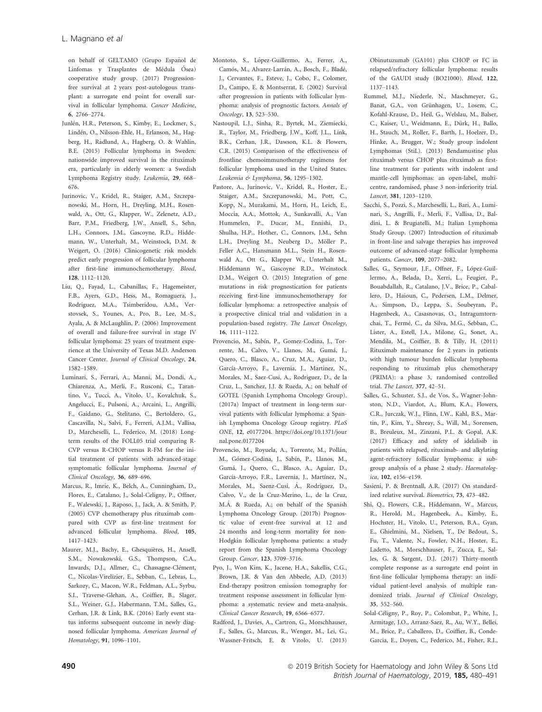on behalf of GELTAMO (Grupo Español de Linfomas y Trasplantes de Médula Ósea) cooperative study group. (2017) Progressionfree survival at 2 years post-autologous transplant: a surrogate end point for overall survival in follicular lymphoma. Cancer Medicine, 6, 2766–2774.

- Junlén, H.R., Peterson, S., Kimby, E., Lockmer, S., Lindén, O., Nilsson-Ehle, H., Erlanson, M., Hagberg, H., Radlund, A., Hagberg, O. & Wahlin, B.E. (2015) Follicular lymphoma in Sweden: nationwide improved survival in the rituximab era, particularly in elderly women: a Swedish Lymphoma Registry study. Leukemia, 29, 668– 676.
- Jurinovic, V., Kridel, R., Staiger, A.M., Szczepanowski, M., Horn, H., Dreyling, M.H., Rosenwald, A., Ott, G., Klapper, W., Zelenetz, A.D., Barr, P.M., Friedberg, J.W., Ansell, S., Sehn, L.H., Connors, J.M., Gascoyne, R.D., Hiddemann, W., Unterhalt, M., Weinstock, D.M. & Weigert, O. (2016) Clinicogenetic risk models predict early progression of follicular lymphoma after first-line immunochemotherapy. Blood, 128, 1112–1120.
- Liu, Q., Fayad, L., Cabanillas, F., Hagemeister, F.B., Ayers, G.D., Hess, M., Romaguera, J., Rodriguez, M.A., Tsimberidou, A.M., Verstovsek, S., Younes, A., Pro, B., Lee, M.-S., Ayala, A. & McLaughlin, P. (2006) Improvement of overall and failure-free survival in stage IV follicular lymphoma: 25 years of treatment experience at the University of Texas M.D. Anderson Cancer Center. Journal of Clinical Oncology, 24, 1582–1589.
- Luminari, S., Ferrari, A., Manni, M., Dondi, A., Chiarenza, A., Merli, F., Rusconi, C., Tarantino, V., Tucci, A., Vitolo, U., Kovalchuk, S., Angelucci, E., Pulsoni, A., Arcaini, L., Angrilli, F., Gaidano, G., Stelitano, C., Bertoldero, G., Cascavilla, N., Salvi, F., Ferreri, A.J.M., Vallisa, D., Marcheselli, L., Federico, M. (2018) Longterm results of the FOLL05 trial comparing R-CVP versus R-CHOP versus R-FM for the initial treatment of patients with advanced-stage symptomatic follicular lymphoma. Journal of Clinical Oncology, 36, 689–696.
- Marcus, R., Imrie, K., Belch, A., Cunningham, D., Flores, E., Catalano, J., Solal-Celigny, P., Offner, F., Walewski, J., Raposo, J., Jack, A. & Smith, P. (2005) CVP chemotherapy plus rituximab compared with CVP as first-line treatment for advanced follicular lymphoma. Blood, 105, 1417–1423.
- Maurer, M.J., Bachy, E., Ghesquières, H., Ansell, S.M., Nowakowski, G.S., Thompson, C.A., Inwards, D.J., Allmer, C., Chassagne-Clément, C., Nicolas-Virelizier, E., Sebban, C., Lebras, L., Sarkozy, C., Macon, W.R., Feldman, A.L., Syrbu, S.I., Traverse-Glehan, A., Coiffier, B., Slager, S.L., Weiner, G.J., Habermann, T.M., Salles, G., Cerhan, J.R. & Link, B.K. (2016) Early event status informs subsequent outcome in newly diagnosed follicular lymphoma. American Journal of Hematology, 91, 1096–1101.
- Montoto, S., López-Guillermo, A., Ferrer, A., Camós, M., Alvarez-Larrán, A., Bosch, F., Bladé, J., Cervantes, F., Esteve, J., Cobo, F., Colomer, D., Campo, E. & Montserrat, E. (2002) Survival after progression in patients with follicular lymphoma: analysis of prognostic factors. Annals of Oncology, 13, 523–530.
- Nastoupil, L.J., Sinha, R., Byrtek, M., Ziemiecki, R., Taylor, M., Friedberg, J.W., Koff, J.L., Link, B.K., Cerhan, J.R., Dawson, K.L. & Flowers, C.R. (2015) Comparison of the effectiveness of frontline chemoimmunotherapy regimens for follicular lymphoma used in the United States. Leukemia & Lymphoma, 56, 1295–1302.
- Pastore, A., Jurinovic, V., Kridel, R., Hoster, E., Staiger, A.M., Szczepanowski, M., Pott, C., Kopp, N., Murakami, M., Horn, H., Leich, E., Moccia, A.A., Mottok, A., Sunkavalli, A., Van Hummelen, P., Ducar, M., Ennishi, D., Shulha, H.P., Hother, C., Connors, J.M., Sehn L.H., Dreyling M., Neuberg D., Möller P., Feller A.C., Hansmann M.L., Stein H., Rosenwald A., Ott G., Klapper W., Unterhalt M., Hiddemann W., Gascoyne R.D., Weinstock D.M., Weigert O. (2015) Integration of gene mutations in risk prognostication for patients receiving first-line immunochemotherapy for follicular lymphoma: a retrospective analysis of a prospective clinical trial and validation in a population-based registry. The Lancet Oncology, 16, 1111–1122.
- Provencio, M., Sabín, P., Gomez-Codina, J., Torrente, M., Calvo, V., Llanos, M., Gumá, J., Quero, C., Blasco, A., Cruz, M.A., Aguiar, D., García-Arroyo, F., Lavernia, J., Martinez, N., Morales, M., Saez-Cusi, A., Rodriguez, D., de la Cruz, L., Sanchez, J.J. & Rueda, A.; on behalf of GOTEL (Spanish Lymphoma Oncology Group). (2017a) Impact of treatment in long-term survival patients with follicular lymphoma: a Spanish Lymphoma Oncology Group registry. PLoS ONE, 12, e0177204. [https://doi.org/10.1371/jour](https://doi.org/10.1371/journal.pone.0177204) [nal.pone.0177204](https://doi.org/10.1371/journal.pone.0177204)
- Provencio, M., Royuela, A., Torrente, M., Pollán, M., Gómez-Codina, J., Sabín, P., Llanos, M., Gumá, J., Quero, C., Blasco, A., Aguiar, D., García-Arroyo, F.R., Lavernia, J., Martínez, N., Morales, M., Saenz-Cusi, Á., Rodríguez, D., Calvo, V., de la Cruz-Merino, L., de la Cruz, M.Á. & Rueda, A.; on behalf of the Spanish Lymphoma Oncology Group. (2017b) Prognostic value of event-free survival at 12 and 24 months and long-term mortality for non-Hodgkin follicular lymphoma patients: a study report from the Spanish Lymphoma Oncology Group. Cancer, 123, 3709–3716.
- Pyo, J., Won Kim, K., Jacene, H.A., Sakellis, C.G., Brown, J.R. & Van den Abbeele, A.D. (2013) End-therapy positron emission tomography for treatment response assessment in follicular lymphoma: a systematic review and meta-analysis. Clinical Cancer Research, 19, 6566–6577.
- Radford, J., Davies, A., Cartron, G., Morschhauser, F., Salles, G., Marcus, R., Wenger, M., Lei, G., Wassner-Fritsch, E. & Vitolo, U. (2013)

Obinutuzumab (GA101) plus CHOP or FC in relapsed/refractory follicular lymphoma: results of the GAUDI study (BO21000). Blood, 122, 1137–1143.

- Rummel, M.J., Niederle, N., Maschmeyer, G., Banat, G.A., von Grünhagen, U., Losem, C., Kofahl-Krause, D., Heil, G., Welslau, M., Balser, C., Kaiser, U., Weidmann, E., Dürk, H., Ballo, H., Stauch, M., Roller, F., Barth, J., Hoelzer, D., Hinke, A., Brugger, W.; Study group indolent Lymphomas (StiL). (2013) Bendamustine plus rituximab versus CHOP plus rituximab as firstline treatment for patients with indolent and mantle-cell lymphomas: an open-label, multicentre, randomised, phase 3 non-inferiority trial. Lancet, 381, 1203–1210.
- Sacchi, S., Pozzi, S., Marcheselli, L., Bari, A., Luminari, S., Angrilli, F., Merli, F., Vallisa, D., Baldini, L. & Brugiatelli, M.; Italian Lymphoma Study Group. (2007) Introduction of rituximab in front-line and salvage therapies has improved outcome of advanced-stage follicular lymphoma patients. Cancer, 109, 2077–2082.
- Salles, G., Seymour, J.F., Offner, F., López-Guillermo, A., Belada, D., Xerri, L., Feugier, P., Bouabdallah, R., Catalano, J.V., Brice, P., Caballero, D., Haioun, C., Pedersen, L.M., Delmer, A., Simpson, D., Leppa, S., Soubeyran, P., Hagenbeek, A., Casasnovas, O., Intragumtornchai, T., Fermé, C., da Silva, M.G., Sebban, C., Lister, A., Estell, J.A., Milone, G., Sonet, A., Mendila, M., Coiffier, B. & Tilly, H. (2011) Rituximab maintenance for 2 years in patients with high tumour burden follicular lymphoma responding to rituximab plus chemotherapy (PRIMA): a phase 3, randomised controlled trial. The Lancet, 377, 42–51.
- Salles, G., Schuster, S.J., de Vos, S., Wagner-Johnston, N.D., Viardot, A., Blum, K.A., Flowers, C.R., Jurczak, W.J., Flinn, I.W., Kahl, B.S., Martin, P., Kim, Y., Shreay, S., Will, M., Sorensen, B., Breuleux, M., Zinzani, P.L. & Gopal, A.K. (2017) Efficacy and safety of idelalisib in patients with relapsed, rituximab- and alkylating agent-refractory follicular lymphoma: a subgroup analysis of a phase 2 study. Haematologica, 102, e156–e159.
- Sasieni, P. & Brentnall, A.R. (2017) On standardized relative survival. Biometrics, 73, 473–482.
- Shi, Q., Flowers, C.R., Hiddemann, W., Marcus, R., Herold, M., Hagenbeek, A., Kimby, E., Hochster, H., Vitolo, U., Peterson, B.A., Gyan, E., Ghielmini, M., Nielsen, T., De Bedout, S., Fu, T., Valente, N., Fowler, N.H., Hoster, E., Ladetto, M., Morschhauser, F., Zucca, E., Salles, G. & Sargent, D.J. (2017) Thirty-month complete response as a surrogate end point in first-line follicular lymphoma therapy: an individual patient-level analysis of multiple randomized trials. Journal of Clinical Oncology, 35, 552–560.
- Solal-Céligny, P., Roy, P., Colombat, P., White, J., Armitage, J.O., Arranz-Saez, R., Au, W.Y., Bellei, M., Brice, P., Caballero, D., Coiffier, B., Conde-Garcia, E., Doyen, C., Federico, M., Fisher, R.I.,